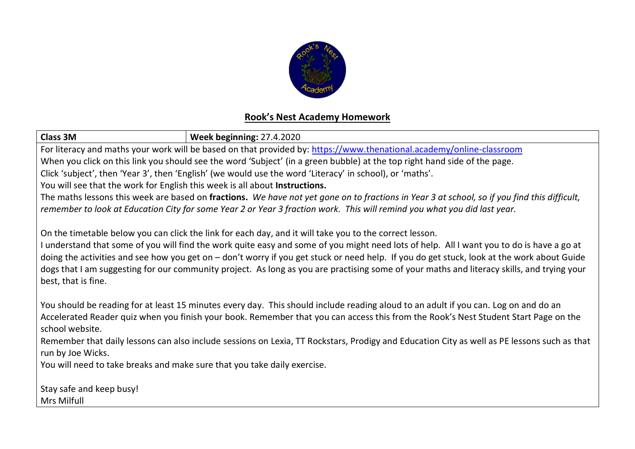

## **Rook's Nest Academy Homework**

| <b>Class 3M</b><br><b>Week beginning: 27.4.2020</b>                                                                                          |  |  |  |  |
|----------------------------------------------------------------------------------------------------------------------------------------------|--|--|--|--|
| For literacy and maths your work will be based on that provided by: https://www.thenational.academy/online-classroom                         |  |  |  |  |
| When you click on this link you should see the word 'Subject' (in a green bubble) at the top right hand side of the page.                    |  |  |  |  |
| Click 'subject', then 'Year 3', then 'English' (we would use the word 'Literacy' in school), or 'maths'.                                     |  |  |  |  |
| You will see that the work for English this week is all about Instructions.                                                                  |  |  |  |  |
| The maths lessons this week are based on fractions. We have not yet gone on to fractions in Year 3 at school, so if you find this difficult, |  |  |  |  |
| remember to look at Education City for some Year 2 or Year 3 fraction work. This will remind you what you did last year.                     |  |  |  |  |
| On the timetable below you can click the link for each day, and it will take you to the correct lesson.                                      |  |  |  |  |
| I understand that some of you will find the work quite easy and some of you might need lots of help. All I want you to do is have a go at    |  |  |  |  |
| doing the activities and see how you get on - don't worry if you get stuck or need help. If you do get stuck, look at the work about Guide   |  |  |  |  |
| dogs that I am suggesting for our community project. As long as you are practising some of your maths and literacy skills, and trying your   |  |  |  |  |
| best, that is fine.                                                                                                                          |  |  |  |  |
| You should be reading for at least 15 minutes every day. This should include reading aloud to an adult if you can. Log on and do an          |  |  |  |  |
| Accelerated Reader quiz when you finish your book. Remember that you can access this from the Rook's Nest Student Start Page on the          |  |  |  |  |
| school website.                                                                                                                              |  |  |  |  |
| Remember that daily lessons can also include sessions on Lexia, TT Rockstars, Prodigy and Education City as well as PE lessons such as that  |  |  |  |  |
| run by Joe Wicks.                                                                                                                            |  |  |  |  |
| You will need to take breaks and make sure that you take daily exercise.                                                                     |  |  |  |  |
|                                                                                                                                              |  |  |  |  |
| Stay safe and keep busy!                                                                                                                     |  |  |  |  |
| Mrs Milfull                                                                                                                                  |  |  |  |  |